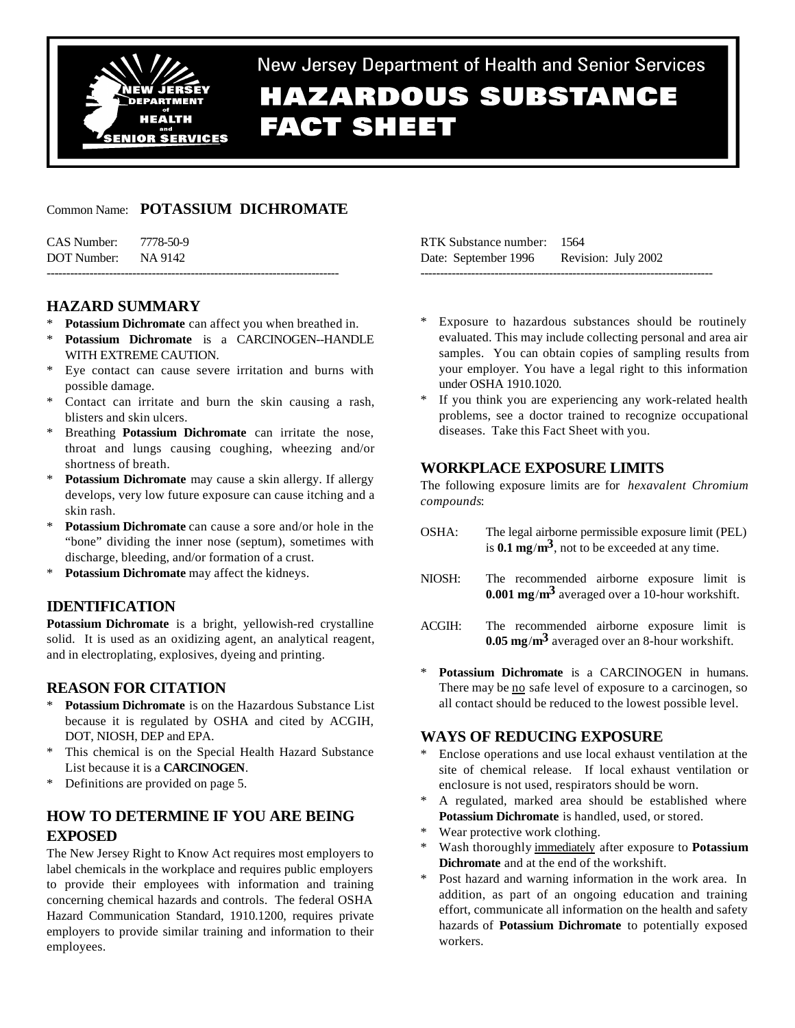

# New Jersey Department of Health and Senior Services **HAZARDOUS SUBSTANCE FACT SHEET**

# Common Name: **POTASSIUM DICHROMATE**

| CAS Number: 7778-50-9 |  |
|-----------------------|--|
| DOT Number: NA 9142   |  |
|                       |  |

# **HAZARD SUMMARY**

- Potassium Dichromate can affect you when breathed in.
- \* **Potassium Dichromate** is a CARCINOGEN--HANDLE WITH EXTREME CAUTION.
- \* Eye contact can cause severe irritation and burns with possible damage.
- Contact can irritate and burn the skin causing a rash, blisters and skin ulcers.
- Breathing **Potassium Dichromate** can irritate the nose, throat and lungs causing coughing, wheezing and/or shortness of breath.
- **Potassium Dichromate** may cause a skin allergy. If allergy develops, very low future exposure can cause itching and a skin rash.
- **Potassium Dichromate** can cause a sore and/or hole in the "bone" dividing the inner nose (septum), sometimes with discharge, bleeding, and/or formation of a crust.
- \* **Potassium Dichromate** may affect the kidneys.

# **IDENTIFICATION**

**Potassium Dichromate** is a bright, yellowish-red crystalline solid. It is used as an oxidizing agent, an analytical reagent, and in electroplating, explosives, dyeing and printing.

# **REASON FOR CITATION**

- Potassium Dichromate is on the Hazardous Substance List because it is regulated by OSHA and cited by ACGIH, DOT, NIOSH, DEP and EPA.
- This chemical is on the Special Health Hazard Substance List because it is a **CARCINOGEN**.
- \* Definitions are provided on page 5.

# **HOW TO DETERMINE IF YOU ARE BEING EXPOSED**

The New Jersey Right to Know Act requires most employers to label chemicals in the workplace and requires public employers to provide their employees with information and training concerning chemical hazards and controls. The federal OSHA Hazard Communication Standard, 1910.1200, requires private employers to provide similar training and information to their employees.

| RTK Substance number: 1564 |                     |
|----------------------------|---------------------|
| Date: September 1996       | Revision: July 2002 |
|                            |                     |

- Exposure to hazardous substances should be routinely evaluated. This may include collecting personal and area air samples. You can obtain copies of sampling results from your employer. You have a legal right to this information under OSHA 1910.1020.
- If you think you are experiencing any work-related health problems, see a doctor trained to recognize occupational diseases. Take this Fact Sheet with you.

# **WORKPLACE EXPOSURE LIMITS**

The following exposure limits are for *hexavalent Chromium compounds*:

- OSHA: The legal airborne permissible exposure limit (PEL) is **0.1 mg**/**m3**, not to be exceeded at any time.
- NIOSH: The recommended airborne exposure limit is **0.001 mg**/**m3** averaged over a 10-hour workshift.
- ACGIH: The recommended airborne exposure limit is **0.05 mg**/**m3** averaged over an 8-hour workshift.
- \* **Potassium Dichromate** is a CARCINOGEN in humans. There may be no safe level of exposure to a carcinogen, so all contact should be reduced to the lowest possible level.

# **WAYS OF REDUCING EXPOSURE**

- Enclose operations and use local exhaust ventilation at the site of chemical release. If local exhaust ventilation or enclosure is not used, respirators should be worn.
- A regulated, marked area should be established where **Potassium Dichromate** is handled, used, or stored.
- Wear protective work clothing.
- \* Wash thoroughly immediately after exposure to **Potassium Dichromate** and at the end of the workshift.
- Post hazard and warning information in the work area. In addition, as part of an ongoing education and training effort, communicate all information on the health and safety hazards of **Potassium Dichromate** to potentially exposed workers.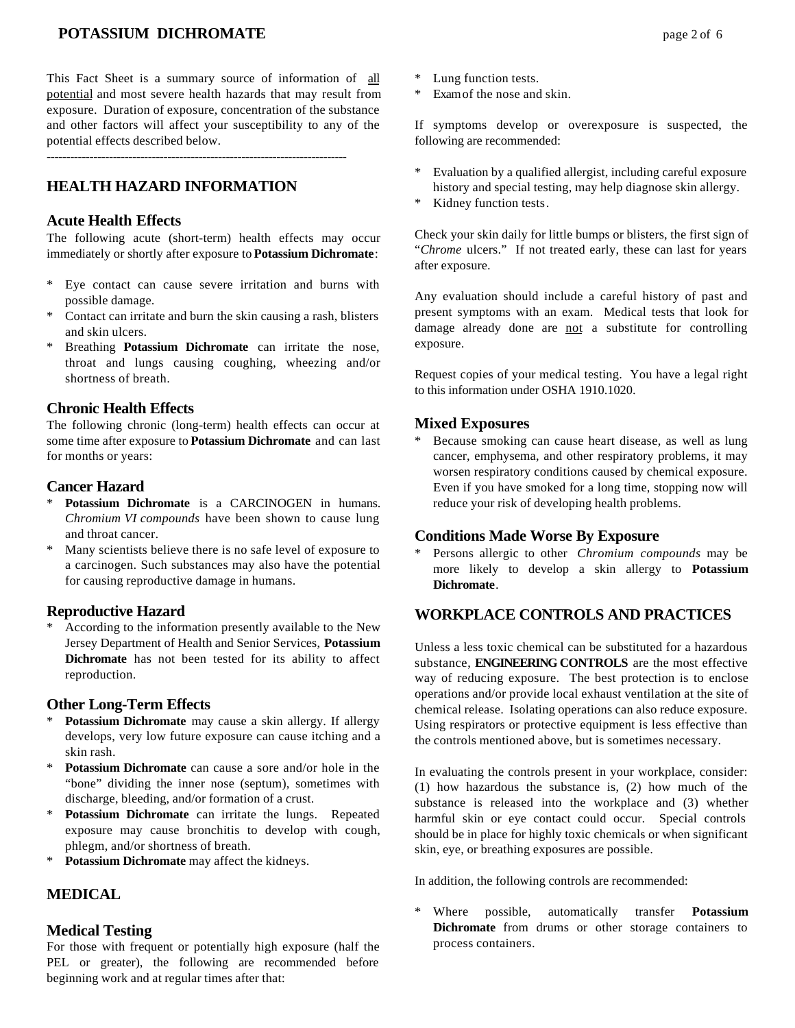# **POTASSIUM DICHROMATE** page 2 of 6

This Fact Sheet is a summary source of information of all potential and most severe health hazards that may result from exposure. Duration of exposure, concentration of the substance and other factors will affect your susceptibility to any of the potential effects described below.

-----------------------------------------------------------------------------

# **HEALTH HAZARD INFORMATION**

## **Acute Health Effects**

The following acute (short-term) health effects may occur immediately or shortly after exposure to **Potassium Dichromate**:

- \* Eye contact can cause severe irritation and burns with possible damage.
- Contact can irritate and burn the skin causing a rash, blisters and skin ulcers.
- \* Breathing **Potassium Dichromate** can irritate the nose, throat and lungs causing coughing, wheezing and/or shortness of breath.

### **Chronic Health Effects**

The following chronic (long-term) health effects can occur at some time after exposure to **Potassium Dichromate** and can last for months or years:

### **Cancer Hazard**

- \* **Potassium Dichromate** is a CARCINOGEN in humans. *Chromium VI compounds* have been shown to cause lung and throat cancer.
- \* Many scientists believe there is no safe level of exposure to a carcinogen. Such substances may also have the potential for causing reproductive damage in humans.

## **Reproductive Hazard**

According to the information presently available to the New Jersey Department of Health and Senior Services, **Potassium Dichromate** has not been tested for its ability to affect reproduction.

#### **Other Long-Term Effects**

- Potassium Dichromate may cause a skin allergy. If allergy develops, very low future exposure can cause itching and a skin rash.
- \* **Potassium Dichromate** can cause a sore and/or hole in the "bone" dividing the inner nose (septum), sometimes with discharge, bleeding, and/or formation of a crust.
- \* **Potassium Dichromate** can irritate the lungs. Repeated exposure may cause bronchitis to develop with cough, phlegm, and/or shortness of breath.
- \* **Potassium Dichromate** may affect the kidneys.

# **MEDICAL**

#### **Medical Testing**

For those with frequent or potentially high exposure (half the PEL or greater), the following are recommended before beginning work and at regular times after that:

- Lung function tests.
- \* Exam of the nose and skin.

If symptoms develop or overexposure is suspected, the following are recommended:

- \* Evaluation by a qualified allergist, including careful exposure history and special testing, may help diagnose skin allergy.
- Kidney function tests.

Check your skin daily for little bumps or blisters, the first sign of "*Chrome* ulcers." If not treated early, these can last for years after exposure.

Any evaluation should include a careful history of past and present symptoms with an exam. Medical tests that look for damage already done are not a substitute for controlling exposure.

Request copies of your medical testing. You have a legal right to this information under OSHA 1910.1020.

## **Mixed Exposures**

Because smoking can cause heart disease, as well as lung cancer, emphysema, and other respiratory problems, it may worsen respiratory conditions caused by chemical exposure. Even if you have smoked for a long time, stopping now will reduce your risk of developing health problems.

#### **Conditions Made Worse By Exposure**

\* Persons allergic to other *Chromium compounds* may be more likely to develop a skin allergy to **Potassium Dichromate**.

# **WORKPLACE CONTROLS AND PRACTICES**

Unless a less toxic chemical can be substituted for a hazardous substance, **ENGINEERING CONTROLS** are the most effective way of reducing exposure. The best protection is to enclose operations and/or provide local exhaust ventilation at the site of chemical release. Isolating operations can also reduce exposure. Using respirators or protective equipment is less effective than the controls mentioned above, but is sometimes necessary.

In evaluating the controls present in your workplace, consider: (1) how hazardous the substance is, (2) how much of the substance is released into the workplace and (3) whether harmful skin or eye contact could occur. Special controls should be in place for highly toxic chemicals or when significant skin, eye, or breathing exposures are possible.

In addition, the following controls are recommended:

\* Where possible, automatically transfer **Potassium Dichromate** from drums or other storage containers to process containers.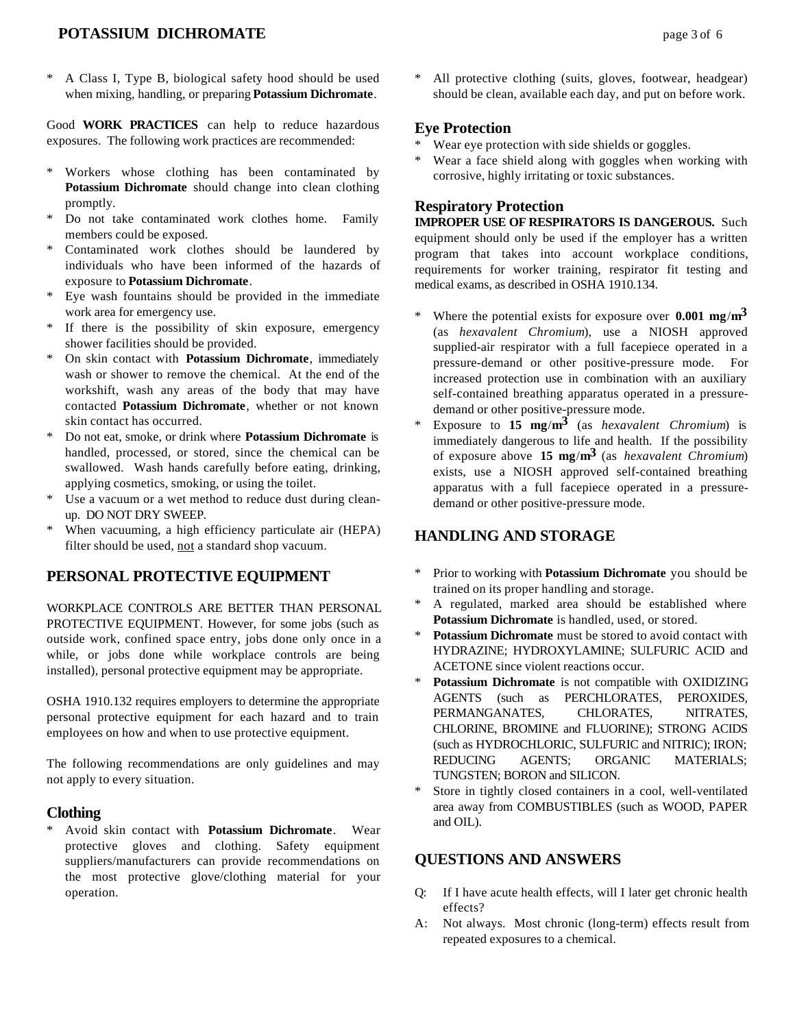# **POTASSIUM DICHROMATE** page 3 of 6

A Class I, Type B, biological safety hood should be used when mixing, handling, or preparing **Potassium Dichromate**.

Good **WORK PRACTICES** can help to reduce hazardous exposures. The following work practices are recommended:

- \* Workers whose clothing has been contaminated by **Potassium Dichromate** should change into clean clothing promptly.
- Do not take contaminated work clothes home. Family members could be exposed.
- \* Contaminated work clothes should be laundered by individuals who have been informed of the hazards of exposure to **Potassium Dichromate**.
- Eye wash fountains should be provided in the immediate work area for emergency use.
- If there is the possibility of skin exposure, emergency shower facilities should be provided.
- \* On skin contact with **Potassium Dichromate**, immediately wash or shower to remove the chemical. At the end of the workshift, wash any areas of the body that may have contacted **Potassium Dichromate**, whether or not known skin contact has occurred.
- \* Do not eat, smoke, or drink where **Potassium Dichromate** is handled, processed, or stored, since the chemical can be swallowed. Wash hands carefully before eating, drinking, applying cosmetics, smoking, or using the toilet.
- \* Use a vacuum or a wet method to reduce dust during cleanup. DO NOT DRY SWEEP.
- \* When vacuuming, a high efficiency particulate air (HEPA) filter should be used, not a standard shop vacuum.

## **PERSONAL PROTECTIVE EQUIPMENT**

WORKPLACE CONTROLS ARE BETTER THAN PERSONAL PROTECTIVE EQUIPMENT. However, for some jobs (such as outside work, confined space entry, jobs done only once in a while, or jobs done while workplace controls are being installed), personal protective equipment may be appropriate.

OSHA 1910.132 requires employers to determine the appropriate personal protective equipment for each hazard and to train employees on how and when to use protective equipment.

The following recommendations are only guidelines and may not apply to every situation.

#### **Clothing**

\* Avoid skin contact with **Potassium Dichromate**. Wear protective gloves and clothing. Safety equipment suppliers/manufacturers can provide recommendations on the most protective glove/clothing material for your operation.

\* All protective clothing (suits, gloves, footwear, headgear) should be clean, available each day, and put on before work.

## **Eye Protection**

- Wear eye protection with side shields or goggles.
- Wear a face shield along with goggles when working with corrosive, highly irritating or toxic substances.

## **Respiratory Protection**

**IMPROPER USE OF RESPIRATORS IS DANGEROUS.** Such equipment should only be used if the employer has a written program that takes into account workplace conditions, requirements for worker training, respirator fit testing and medical exams, as described in OSHA 1910.134.

- Where the potential exists for exposure over  $0.001$  mg/m<sup>3</sup> (as *hexavalent Chromium*), use a NIOSH approved supplied-air respirator with a full facepiece operated in a pressure-demand or other positive-pressure mode. For increased protection use in combination with an auxiliary self-contained breathing apparatus operated in a pressuredemand or other positive-pressure mode.
- \* Exposure to **15 mg**/**m3** (as *hexavalent Chromium*) is immediately dangerous to life and health. If the possibility of exposure above **15 mg**/**m3** (as *hexavalent Chromium*) exists, use a NIOSH approved self-contained breathing apparatus with a full facepiece operated in a pressuredemand or other positive-pressure mode.

# **HANDLING AND STORAGE**

- \* Prior to working with **Potassium Dichromate** you should be trained on its proper handling and storage.
- A regulated, marked area should be established where **Potassium Dichromate** is handled, used, or stored.
- \* **Potassium Dichromate** must be stored to avoid contact with HYDRAZINE; HYDROXYLAMINE; SULFURIC ACID and ACETONE since violent reactions occur.
- \* **Potassium Dichromate** is not compatible with OXIDIZING AGENTS (such as PERCHLORATES, PEROXIDES, PERMANGANATES, CHLORATES, NITRATES, CHLORINE, BROMINE and FLUORINE); STRONG ACIDS (such as HYDROCHLORIC, SULFURIC and NITRIC); IRON; REDUCING AGENTS; ORGANIC MATERIALS; TUNGSTEN; BORON and SILICON.
- \* Store in tightly closed containers in a cool, well-ventilated area away from COMBUSTIBLES (such as WOOD, PAPER and OIL).

### **QUESTIONS AND ANSWERS**

- Q: If I have acute health effects, will I later get chronic health effects?
- A: Not always. Most chronic (long-term) effects result from repeated exposures to a chemical.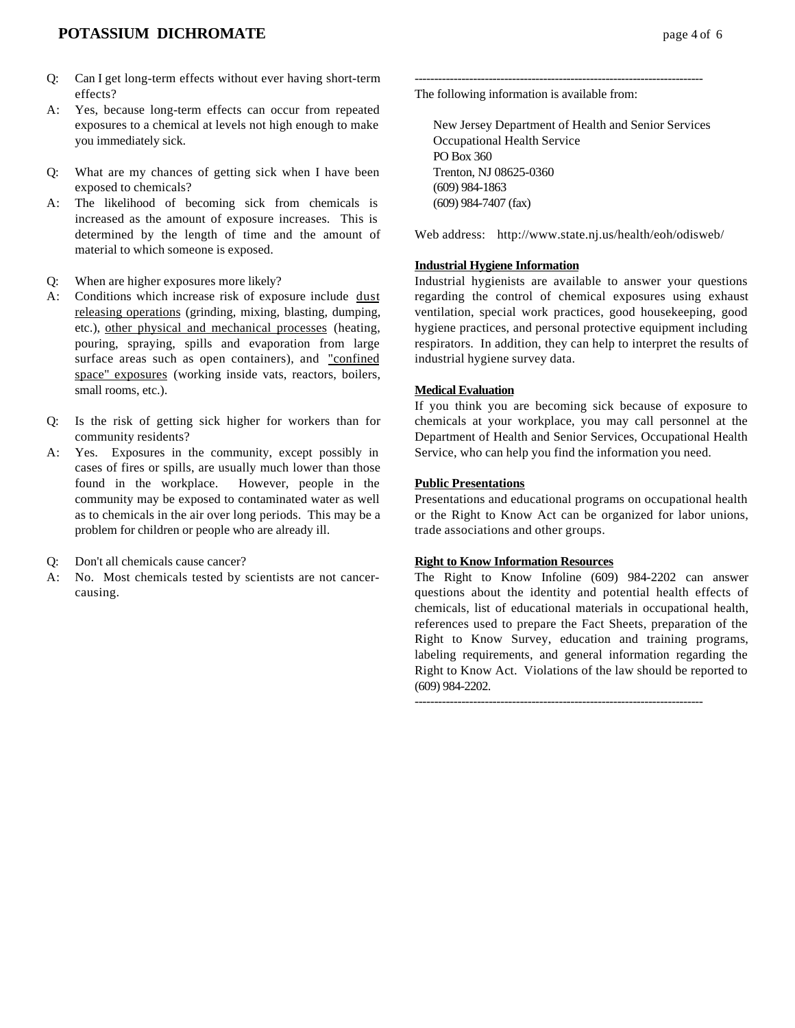- Q: Can I get long-term effects without ever having short-term effects?
- A: Yes, because long-term effects can occur from repeated exposures to a chemical at levels not high enough to make you immediately sick.
- Q: What are my chances of getting sick when I have been exposed to chemicals?
- A: The likelihood of becoming sick from chemicals is increased as the amount of exposure increases. This is determined by the length of time and the amount of material to which someone is exposed.
- Q: When are higher exposures more likely?
- A: Conditions which increase risk of exposure include dust releasing operations (grinding, mixing, blasting, dumping, etc.), other physical and mechanical processes (heating, pouring, spraying, spills and evaporation from large surface areas such as open containers), and "confined space" exposures (working inside vats, reactors, boilers, small rooms, etc.).
- Q: Is the risk of getting sick higher for workers than for community residents?
- A: Yes. Exposures in the community, except possibly in cases of fires or spills, are usually much lower than those found in the workplace. However, people in the community may be exposed to contaminated water as well as to chemicals in the air over long periods. This may be a problem for children or people who are already ill.
- Q: Don't all chemicals cause cancer?
- A: No. Most chemicals tested by scientists are not cancercausing.

-------------------------------------------------------------------------- The following information is available from:

New Jersey Department of Health and Senior Services Occupational Health Service PO Box 360 Trenton, NJ 08625-0360 (609) 984-1863 (609) 984-7407 (fax)

Web address: http://www.state.nj.us/health/eoh/odisweb/

#### **Industrial Hygiene Information**

Industrial hygienists are available to answer your questions regarding the control of chemical exposures using exhaust ventilation, special work practices, good housekeeping, good hygiene practices, and personal protective equipment including respirators. In addition, they can help to interpret the results of industrial hygiene survey data.

#### **Medical Evaluation**

If you think you are becoming sick because of exposure to chemicals at your workplace, you may call personnel at the Department of Health and Senior Services, Occupational Health Service, who can help you find the information you need.

#### **Public Presentations**

Presentations and educational programs on occupational health or the Right to Know Act can be organized for labor unions, trade associations and other groups.

#### **Right to Know Information Resources**

The Right to Know Infoline (609) 984-2202 can answer questions about the identity and potential health effects of chemicals, list of educational materials in occupational health, references used to prepare the Fact Sheets, preparation of the Right to Know Survey, education and training programs, labeling requirements, and general information regarding the Right to Know Act. Violations of the law should be reported to (609) 984-2202.

--------------------------------------------------------------------------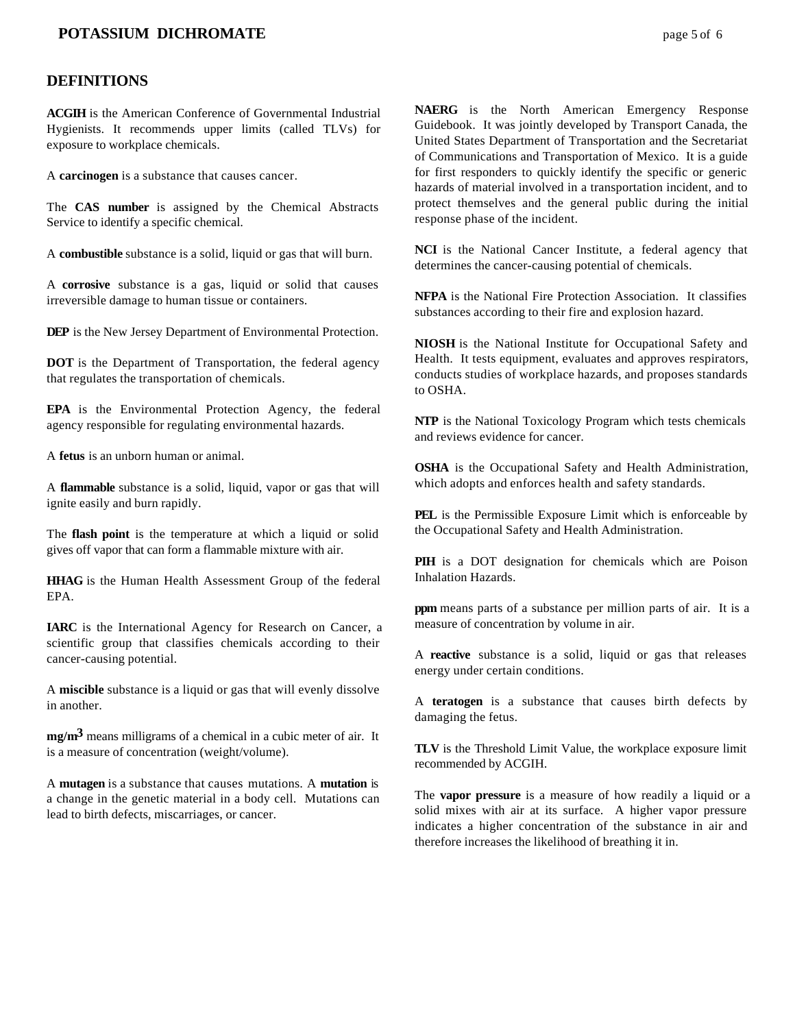# **POTASSIUM DICHROMATE** page 5 of 6

#### **DEFINITIONS**

**ACGIH** is the American Conference of Governmental Industrial Hygienists. It recommends upper limits (called TLVs) for exposure to workplace chemicals.

A **carcinogen** is a substance that causes cancer.

The **CAS number** is assigned by the Chemical Abstracts Service to identify a specific chemical.

A **combustible** substance is a solid, liquid or gas that will burn.

A **corrosive** substance is a gas, liquid or solid that causes irreversible damage to human tissue or containers.

**DEP** is the New Jersey Department of Environmental Protection.

**DOT** is the Department of Transportation, the federal agency that regulates the transportation of chemicals.

**EPA** is the Environmental Protection Agency, the federal agency responsible for regulating environmental hazards.

A **fetus** is an unborn human or animal.

A **flammable** substance is a solid, liquid, vapor or gas that will ignite easily and burn rapidly.

The **flash point** is the temperature at which a liquid or solid gives off vapor that can form a flammable mixture with air.

**HHAG** is the Human Health Assessment Group of the federal EPA.

**IARC** is the International Agency for Research on Cancer, a scientific group that classifies chemicals according to their cancer-causing potential.

A **miscible** substance is a liquid or gas that will evenly dissolve in another.

**mg/m3** means milligrams of a chemical in a cubic meter of air. It is a measure of concentration (weight/volume).

A **mutagen** is a substance that causes mutations. A **mutation** is a change in the genetic material in a body cell. Mutations can lead to birth defects, miscarriages, or cancer.

**NAERG** is the North American Emergency Response Guidebook. It was jointly developed by Transport Canada, the United States Department of Transportation and the Secretariat of Communications and Transportation of Mexico. It is a guide for first responders to quickly identify the specific or generic hazards of material involved in a transportation incident, and to protect themselves and the general public during the initial response phase of the incident.

**NCI** is the National Cancer Institute, a federal agency that determines the cancer-causing potential of chemicals.

**NFPA** is the National Fire Protection Association. It classifies substances according to their fire and explosion hazard.

**NIOSH** is the National Institute for Occupational Safety and Health. It tests equipment, evaluates and approves respirators, conducts studies of workplace hazards, and proposes standards to OSHA.

**NTP** is the National Toxicology Program which tests chemicals and reviews evidence for cancer.

**OSHA** is the Occupational Safety and Health Administration, which adopts and enforces health and safety standards.

**PEL** is the Permissible Exposure Limit which is enforceable by the Occupational Safety and Health Administration.

**PIH** is a DOT designation for chemicals which are Poison Inhalation Hazards.

**ppm** means parts of a substance per million parts of air. It is a measure of concentration by volume in air.

A **reactive** substance is a solid, liquid or gas that releases energy under certain conditions.

A **teratogen** is a substance that causes birth defects by damaging the fetus.

**TLV** is the Threshold Limit Value, the workplace exposure limit recommended by ACGIH.

The **vapor pressure** is a measure of how readily a liquid or a solid mixes with air at its surface. A higher vapor pressure indicates a higher concentration of the substance in air and therefore increases the likelihood of breathing it in.